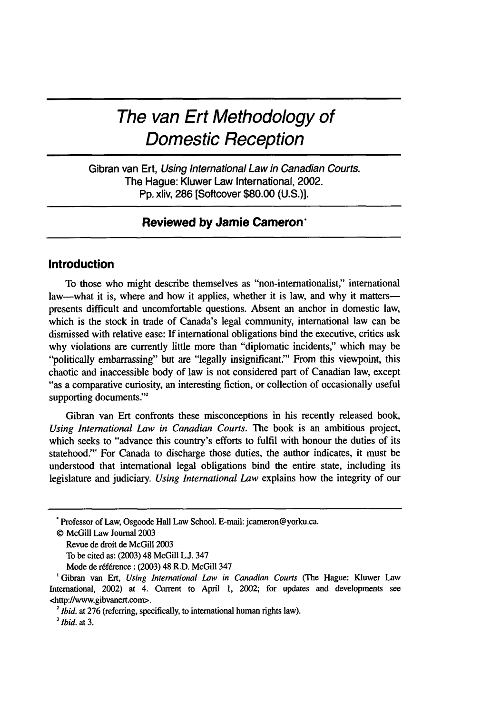# **The van Ert Methodology of Domestic Reception**

Gibran van Ert, Using International Law in Canadian Courts. The Hague: Kluwer Law International, 2002. Pp. xliv, 286 [Softcover \$80.00 (U.S.)].

# **Reviewed by Jamie Cameron,**

## **Introduction**

To those who might describe themselves as "non-internationalist," international law—what it is, where and how it applies, whether it is law, and why it matters presents difficult and uncomfortable questions. Absent an anchor in domestic law, which is the stock in trade of Canada's legal community, international law can be dismissed with relative ease: If international obligations bind the executive, critics ask why violations are currently little more than "diplomatic incidents," which may be "politically embarrassing" but are "legally insignificant" From this viewpoint, this chaotic and inaccessible body of law is not considered part of Canadian law, except "as a comparative curiosity, an interesting fiction, or collection of occasionally useful supporting documents."<sup>2</sup>

Gibran van Ert confronts these misconceptions in his recently released book, *Using International Law in Canadian Courts.* The book is an ambitious project, which seeks to "advance this country's efforts to fulfil with honour the duties of its statehood."' For Canada to discharge those duties, the author indicates, it must be understood that international legal obligations bind the entire state, including its legislature and judiciary. *Using International Law* explains how the integrity of our

Professor of Law, Osgoode Hall Law School. E-mail: jcameron@yorku.ca.

<sup>©</sup> McGill Law Journal 2003

Revue de droit de McGill 2003

To be cited as: (2003) 48 McGill L.J. 347

Mode de reference: (2003) 48 R.D. McGill 347

<sup>&#</sup>x27;Gibran van Err, *Using International Law in Canadian Courts* (The Hague: Kluwer Law International, 2002) at 4. Current to April 1, 2002; for updates and developments see <http://www.gibvanert.com>.

<sup>&</sup>lt;sup>2</sup> *Ibid.* at 276 (referring, specifically, to international human rights law).

*<sup>3</sup>Ibid.* at 3.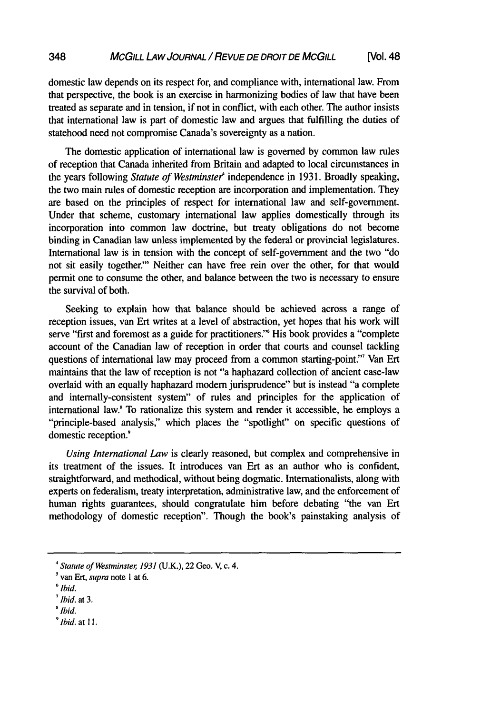domestic law depends on its respect for, and compliance with, international law. From that perspective, the book is an exercise in harmonizing bodies of law that have been treated as separate and in tension, if not in conflict, with each other. The author insists that international law is part of domestic law and argues that fulfilling the duties of statehood need not compromise Canada's sovereignty as a nation.

The domestic application of international law is governed by common law rules of reception that Canada inherited from Britain and adapted to local circumstances in the years following *Statute of Westminster<sup>4</sup>* independence in 1931. Broadly speaking, the two main rules of domestic reception are incorporation and implementation. They are based on the principles of respect for international law and self-government. Under that scheme, customary international law applies domestically through its incorporation into common law doctrine, but treaty obligations do not become binding in Canadian law unless implemented by the federal or provincial legislatures. International law is in tension with the concept of self-government and the two "do not sit easily together."' Neither can have free rein over the other, for that would permit one to consume the other, and balance between the two is necessary to ensure the survival of both.

Seeking to explain how that balance should be achieved across a range of reception issues, van Ert writes at a level of abstraction, yet hopes that his work will serve "first and foremost as a guide for practitioners." His book provides a "complete account of the Canadian law of reception in order that courts and counsel tackling questions of international law may proceed from a common starting-point." Van Ert maintains that the law of reception is not "a haphazard collection of ancient case-law overlaid with an equally haphazard modern jurisprudence" but is instead "a complete and internally-consistent system" of rules and principles for the application of international law.! To rationalize this system and render it accessible, he employs a "principle-based analysis," which places the "spotlight" on specific questions of domestic reception.<sup>9</sup>

*Using International Law* is clearly reasoned, but complex and comprehensive in its treatment of the issues. It introduces van Ert as an author who is confident, straightforward, and methodical, without being dogmatic. Internationalists, along with experts on federalism, treaty interpretation, administrative law, and the enforcement of human rights guarantees, should congratulate him before debating "the van Ert methodology of domestic reception". Though the book's painstaking analysis of

*<sup>&#</sup>x27;Statute of Westminster, 1931* (U.K.), 22 Geo. V, c. 4.

van Ert, *supra* note **I** at 6.

*<sup>(&#</sup>x27;lbid.*

*<sup>&#</sup>x27;Ibid.* at 3.

*<sup>&#</sup>x27;Ibid.*

*<sup>9</sup>Ibid.* at **11.**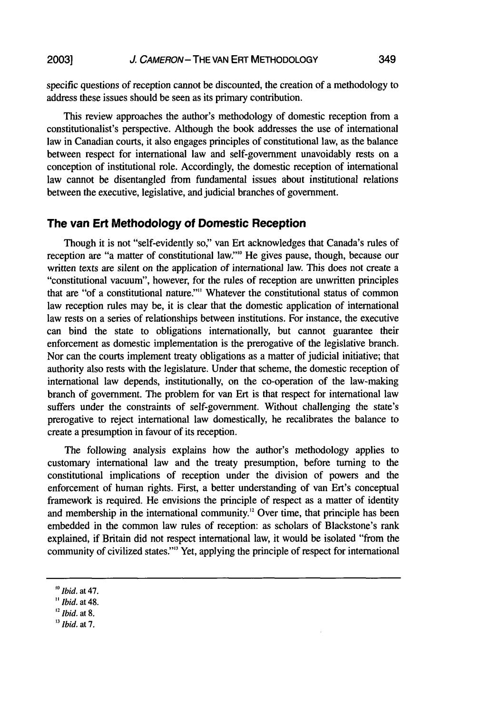**2003]**

specific questions of reception cannot be discounted, the creation of a methodology to address these issues should be seen as its primary contribution.

This review approaches the author's methodology of domestic reception from a constitutionalist's perspective. Although the book addresses the use of international law in Canadian courts, it also engages principles of constitutional law, as the balance between respect for international law and self-government unavoidably rests on a conception of institutional role. Accordingly, the domestic reception of international law cannot be disentangled from fundamental issues about institutional relations between the executive, legislative, and judicial branches of government.

## **The van Ert Methodology of Domestic Reception**

Though it is not "self-evidently so" van Ert acknowledges that Canada's rules of reception are "a matter of constitutional law."" He gives pause, though, because our written texts are silent on the application of international law. This does not create a "constitutional vacuum", however, for the rules of reception are unwritten principles that are "of a constitutional nature?"" Whatever the constitutional status of common law reception rules may be, it is clear that the domestic application of international law rests on a series of relationships between institutions. For instance, the executive can bind the state to obligations internationally, but cannot guarantee their enforcement as domestic implementation is the prerogative of the legislative branch. Nor can the courts implement treaty obligations as a matter of judicial initiative; that authority also rests with the legislature. Under that scheme, the domestic reception of international law depends, institutionally, on the co-operation of the law-making branch of government. The problem for van Ert is that respect for international law suffers under the constraints of self-government. Without challenging the state's prerogative to reject international law domestically, he recalibrates the balance to create a presumption in favour of its reception.

The following analysis explains how the author's methodology applies to customary international law and the treaty presumption, before turning to the constitutional implications of reception under the division of powers and the enforcement of human rights. First, a better understanding of van Ert's conceptual framework is required. He envisions the principle of respect as a matter of identity and membership in the international community." Over time, that principle has been embedded in the common law rules of reception: as scholars of Blackstone's rank explained, if Britain did not respect international law, it would be isolated "from the community of civilized states."<sup>3</sup> Yet, applying the principle of respect for international

*Ibid.* at 7.

*<sup>0</sup>Ibid.* at 47.

*<sup>&</sup>quot;Ibid.* at 48.

*Ibid.* at **8.**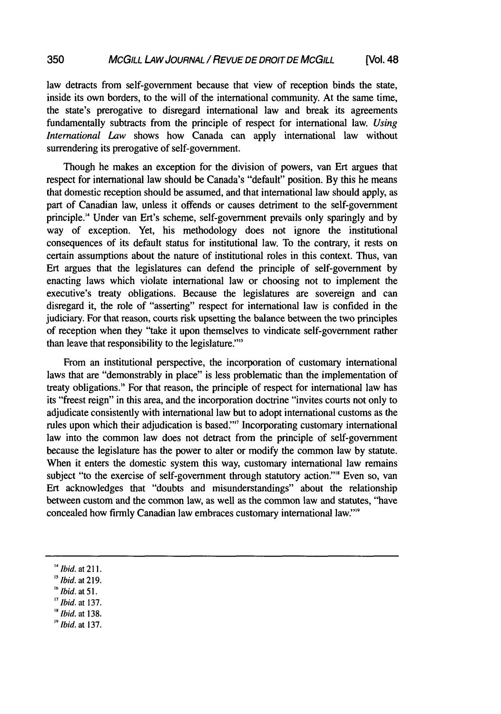law detracts from self-government because that view of reception binds the state, inside its own borders, to the will of the international community. At the same time, the state's prerogative to disregard international law and break its agreements fundamentally subtracts from the principle of respect for international law. *Using International Law* shows how Canada can apply international law without surrendering its prerogative of self-government.

Though he makes an exception for the division of powers, van Ert argues that respect for international law should be Canada's "default" position. By this he means that domestic reception should be assumed, and that international law should apply, as part of Canadian law, unless it offends or causes detriment to the self-government principle." Under van Ert's scheme, self-government prevails only sparingly and by way of exception. Yet, his methodology does not ignore the institutional consequences of its default status for institutional law. To the contrary, it rests on certain assumptions about the nature of institutional roles in this context. Thus, van Ert argues that the legislatures can defend the principle of self-government by enacting laws which violate international law or choosing not to implement the executive's treaty obligations. Because the legislatures are sovereign and can disregard it, the role of "asserting" respect for international law is confided in the judiciary. For that reason, courts risk upsetting the balance between the two principles of reception when they "take it upon themselves to vindicate self-government rather than leave that responsibility to the legislature."'"

From an institutional perspective, the incorporation of customary international laws that are "demonstrably in place" is less problematic than the implementation of treaty obligations."' For that reason, the principle of respect for international law has its "freest reign" in this area, and the incorporation doctrine "invites courts not only to adjudicate consistently with international law but to adopt international customs as the rules upon which their adjudication is based"' Incorporating customary international law into the common law does not detract from the principle of self-government because the legislature has the power to alter or modify the common law by statute. When it enters the domestic system this way, customary international law remains subject "to the exercise of self-government through statutory action."<sup>8</sup> Even so, van Ert acknowledges that "doubts and misunderstandings" about the relationship between custom and the common law, as well as the common law and statutes, "have concealed how firmly Canadian law embraces customary international law" ''

 $B$ <sup>18</sup> *Ibid.* at 138.

*lbid.* at 211.

 $15$  Ibid. at 219.

*<sup>&</sup>quot;Ibid. at* 51.

<sup>&#</sup>x27;7 Ibid. at 137.

 $<sup>19</sup>$  Ibid. at 137.</sup>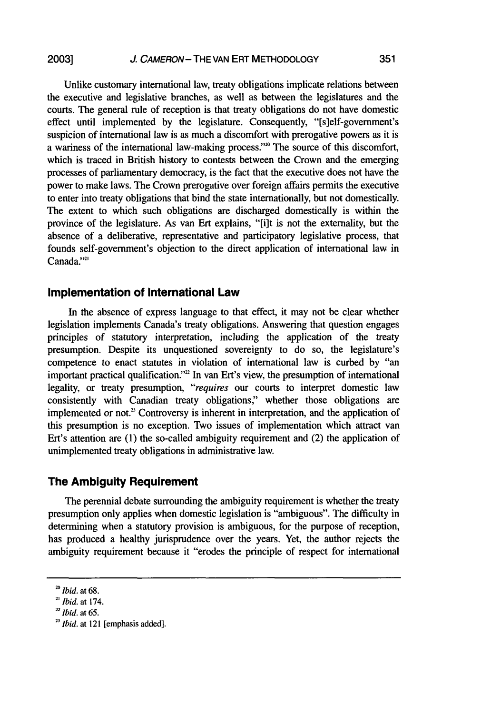**2003]**

Unlike customary international law, treaty obligations implicate relations between the executive and legislative branches, as well as between the legislatures and the courts. The general rule of reception is that treaty obligations do not have domestic effect until implemented by the legislature. Consequently, "[slelf-government's suspicion of international law is as much a discomfort with prerogative powers as it is a wariness of the international law-making process."<sup>20</sup> The source of this discomfort, which is traced in British history to contests between the Crown and the emerging processes of parliamentary democracy, is the fact that the executive does not have the power to make laws. The Crown prerogative over foreign affairs permits the executive to enter into treaty obligations that bind the state internationally, but not domestically. The extent to which such obligations are discharged domestically is within the province of the legislature. As van Ert explains, "[i]t is not the externality, but the absence of a deliberative, representative and participatory legislative process, that founds self-government's objection to the direct application of international law in Canada."<sup>21</sup>

#### **Implementation of International Law**

In the absence of express language to that effect, it may not be clear whether legislation implements Canada's treaty obligations. Answering that question engages principles of statutory interpretation, including the application of the treaty presumption. Despite its unquestioned sovereignty to do so, the legislature's competence to enact statutes in violation of international law is curbed by "an important practical qualification."<sup>22</sup> In van Ert's view, the presumption of international legality, or treaty presumption, *"requires* our courts to interpret domestic law consistently with Canadian treaty obligations," whether those obligations are implemented or not." Controversy is inherent in interpretation, and the application of this presumption is no exception. Two issues of implementation which attract van Ert's attention are (1) the so-called ambiguity requirement and (2) the application of unimplemented treaty obligations in administrative law.

# **The** Ambiguity **Requirement**

The perennial debate surrounding the ambiguity requirement is whether the treaty presumption only applies when domestic legislation is "ambiguous". The difficulty in determining when a statutory provision is ambiguous, for the purpose of reception, has produced a healthy jurisprudence over the years. Yet, the author rejects the ambiguity requirement because it "erodes the principle of respect for international

*<sup>20</sup> Ibid.* at 68.

<sup>&</sup>lt;sup>21</sup> *Ibid.* at 174.

*Ibid.* at 65.

*<sup>23</sup> Ibid.* at 121 [emphasis added].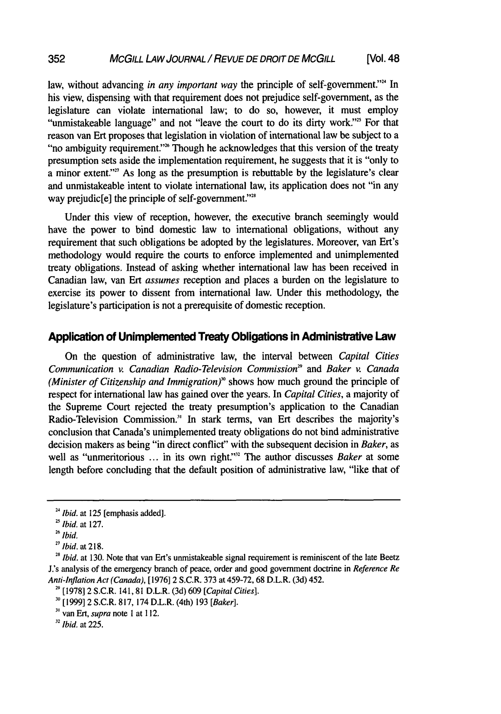law, without advancing *in any important way* the principle of self-government."<sup>24</sup> In his view, dispensing with that requirement does not prejudice self-government, as the legislature can violate international law; to do so, however, it must employ "unmistakeable language" and not "leave the court to do its dirty work."<sup>25</sup> For that reason van Ert proposes that legislation in violation of international law be subject to a "no ambiguity requirement."<sup>26</sup> Though he acknowledges that this version of the treaty presumption sets aside the implementation requirement, he suggests that it is "only to a minor extent."<sup>27</sup> As long as the presumption is rebuttable by the legislature's clear and unmistakeable intent to violate international law, its application does not "in any way prejudic[e] the principle of self-government."<sup>28</sup>

Under this view of reception, however, the executive branch seemingly would have the power to bind domestic law to international obligations, without any requirement that such obligations be adopted by the legislatures. Moreover, van Ert's methodology would require the courts to enforce implemented and unimplemented treaty obligations. Instead of asking whether international law has been received in Canadian law, van Ert *assumes* reception and places a burden on the legislature to exercise its power to dissent from international law. Under this methodology, the legislature's participation is not a prerequisite of domestic reception.

# Application **of Unimplemented Treaty Obligations** in Administrative Law

On the question of administrative law, the interval between *Capital Cities* Communication v. Canadian Radio-Television Commission<sup>29</sup> and Baker v. Canada *(Minister of Citizenship and Immigration)"* shows how much ground the principle of respect for international law has gained over the years. In *Capital Cities,* a majority of the Supreme Court rejected the treaty presumption's application to the Canadian Radio-Television Commission.' In stark terms, van Ert describes the majority's conclusion that Canada's unimplemented treaty obligations do not bind administrative decision makers as being "in direct conflict" with the subsequent decision in *Baker,* as well as "unmeritorious ... in its own right."<sup>32</sup> The author discusses *Baker* at some length before concluding that the default position of administrative law, "like that of

352

*<sup>32</sup>Ibid.* at 225.

<sup>&</sup>lt;sup>24</sup> *Ibid.* at 125 [emphasis added].

*Ibid.* at 127.

*<sup>26</sup>Ibid.*

*<sup>27</sup> Ibid.* at 218.

<sup>&</sup>lt;sup>28</sup> *Ibid.* at 130. Note that van Ert's unmistakeable signal requirement is reminiscent of the late Beetz J.'s analysis of the emergency branch of peace, order and good government doctrine in *Reference Re Anti-Inflation Act (Canada),* [1976] 2 S.C.R. 373 at 459-72, 68 D.L.R. (3d) 452.

**<sup>29</sup>** [1978] 2 S.C.R. 141, **81** D.L.R. (3d) 609 *[Capital Cities].*

<sup>[1999] 2</sup> S.C.R. 817, 174 D.L.R. (4th) 193 *[Baker].*

**<sup>3</sup>**van Ert, *supra* note I at 112.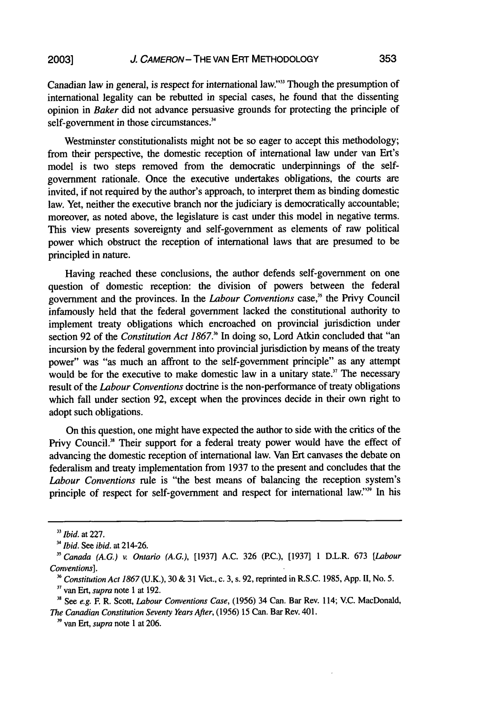Canadian law in general, is respect for international law."" Though the presumption of international legality can be rebutted in special cases, he found that the dissenting opinion in Baker did not advance persuasive grounds for protecting the principle of self-government in those circumstances.<sup>34</sup>

Westminster constitutionalists might not be so eager to accept this methodology; from their perspective, the domestic reception of international law under van Ert's model is two steps removed from the democratic underpinnings of the selfgovernment rationale. Once the executive undertakes obligations, the courts are invited, if not required **by** the author's approach, to interpret them as binding domestic law. Yet, neither the executive branch nor the judiciary is democratically accountable; moreover, as noted above, the legislature is cast under this model in negative terms. This view presents sovereignty and self-government as elements of raw political power which obstruct the reception of international laws that are presumed to be principled in nature.

Having reached these conclusions, the author defends self-government on one question of domestic reception: the division of powers between the federal government and the provinces. In the Labour *Conventions* case," the Privy Council infamously held that the federal government lacked the constitutional authority to implement treaty obligations which encroached on provincial jurisdiction under section **92** of the *Constitution Act 1867."* In doing so, Lord Atkin concluded that "an incursion **by** the federal government into provincial jurisdiction **by** means of the treaty power" was "as much an affront to the self-government principle" as any attempt would be for the executive to make domestic law in a unitary state.<sup>37</sup> The necessary result of the *Labour Conventions* doctrine is the non-performance of treaty obligations which fall under section **92,** except when the provinces decide in their own right to adopt such obligations.

On this question, one might have expected the author to side with the critics of the Privy Council.<sup>38</sup> Their support for a federal treaty power would have the effect of advancing the domestic reception of international law. Van Ert canvases the debate on federalism and treaty implementation from **1937** to the present and concludes that the Labour *Conventions* rule is "the best means of balancing the reception system's principle of respect for self-government and respect for international law."<sup>39</sup> In his

*<sup>&</sup>quot; Ibid.* at 227.

*<sup>3&#</sup>x27; Ibid.* See *ibid.* at 214-26.

*<sup>&</sup>quot;Canada (A.G.) v. Ontario (A.G.),* [1937] A.C. 326 (PC.), [1937] 1 D.L.R. 673 *[Labour Conventions].*

*Constitution Act 1867* (U.K.), 30 & 31 Vict., c. 3, s. 92, reprinted in R.S.C. 1985, App. **1I,** No. 5. **<sup>37</sup>**van *Ert, supra* note **I** at 192.

**<sup>3</sup>***See e.g.* F R. Scott, *Labour Conventions Case,* (1956) 34 Can. Bar Rev. 114; V.C. MacDonald, *The Canadian Constitution Seventy Years After,* (1956) 15 Can. Bar Rev. 401.

**<sup>&</sup>quot;** van Ert, *supra* note 1 at 206.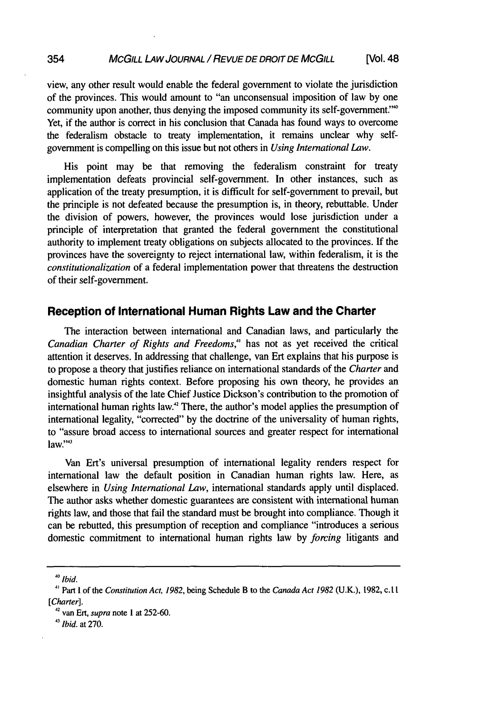#### **354** MCGILL LAW JOURNAL / REVUE DE DROIT DE MCGILL [Vol. 48

view, any other result would enable the federal government to violate the jurisdiction of the provinces. This would amount to "an unconsensual imposition of law by one community upon another, thus denying the imposed community its self-government' Yet, if the author is correct in his conclusion that Canada has found ways to overcome the federalism obstacle to treaty implementation, it remains unclear why selfgovernment is compelling on this issue but not others in *Using International Law.*

His point may be that removing the federalism constraint for treaty implementation defeats provincial self-government. In other instances, such as application of the treaty presumption, it is difficult for self-government to prevail, but the principle is not defeated because the presumption is, in theory, rebuttable. Under the division of powers, however, the provinces would lose jurisdiction under a principle of interpretation that granted the federal government the constitutional authority to implement treaty obligations on subjects allocated to the provinces. If the provinces have the sovereignty to reject international law, within federalism, it is the *constitutionalization* of a federal implementation power that threatens the destruction of their self-government.

# **Reception of International Human Rights Law and the Charter**

The interaction between international and Canadian laws, and particularly the *Canadian Charter of Rights and Freedoms,"* has not as yet received the critical attention it deserves. In addressing that challenge, van Ert explains that his purpose is to propose a theory that justifies reliance on international standards of the *Charter and* domestic human rights context. Before proposing his own theory, he provides an insightful analysis of the late Chief Justice Dickson's contribution to the promotion of international human rights law."2 There, the author's model applies the presumption of international legality, "corrected" by the doctrine of the universality of human rights, to "assure broad access to international sources and greater respect for international  $law."$ <sup>33</sup>

Van Ert's universal presumption of international legality renders respect for international law the default position in Canadian human rights law. Here, as elsewhere in *Using International Law,* international standards apply until displaced. The author asks whether domestic guarantees are consistent with international human rights law, and those that fail the standard must be brought into compliance. Though it can be rebutted, this presumption of reception and compliance "introduces a serious domestic commitment to international human rights law by *forcing* litigants and

*40 Ibid.*

<sup>41</sup> Part I of the *Constitution Act, 1982,* being Schedule B to the *Canada Act 1982* (U.K.), 1982, c.t **I** *[Charter].*

**<sup>42</sup>**van Ert, *supra* note 1 at 252-60.

*<sup>&</sup>quot;3 Ibid.* at 270.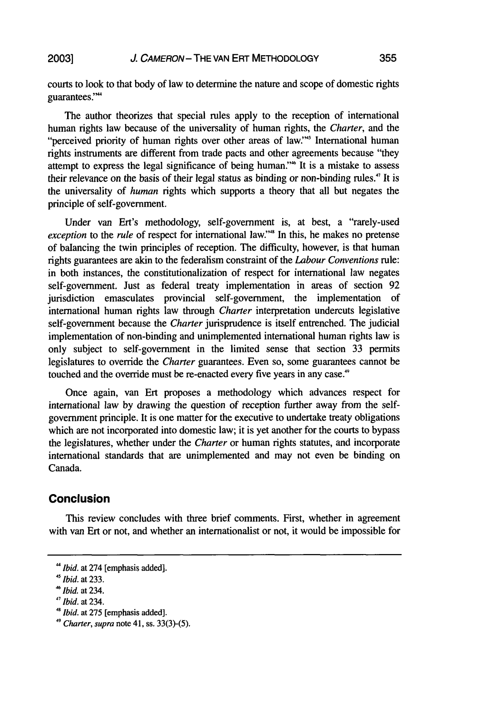courts to look to that body of law to determine the nature and scope of domestic rights guarantees."

The author theorizes that special rules apply to the reception of international human rights law because of the universality of human rights, the *Charter,* and the "perceived priority of human rights over other areas of law."' International human rights instruments are different from trade pacts and other agreements because "they attempt to express the legal significance of being human."<sup>46</sup> It is a mistake to assess their relevance on the basis of their legal status as binding or non-binding rules.' It is the universality of *human* rights which supports a theory that all but negates the principle of self-government.

Under van Ert's methodology, self-government is, at best, a "rarely-used *exception* to the *rule* of respect for international law."<sup>48</sup> In this, he makes no pretense of balancing the twin principles of reception. The difficulty, however, is that human rights guarantees are akin to the federalism constraint of the *Labour Conventions* rule: in both instances, the constitutionalization of respect for international law negates self-government. Just as federal treaty implementation in areas of section 92 jurisdiction emasculates provincial self-government, the implementation of international human rights law through *Charter* interpretation undercuts legislative self-government because the *Charter* jurisprudence is itself entrenched. The judicial implementation of non-binding and unimplemented international human rights law is only subject to self-government in the limited sense that section 33 permits legislatures to override the *Charter* guarantees. Even so, some guarantees cannot be touched and the override must be re-enacted every five years in any case."

Once again, van Ert proposes a methodology which advances respect for international law by drawing the question of reception further away from the selfgovernment principle. It is one matter for the executive to undertake treaty obligations which are not incorporated into domestic law; it is yet another for the courts to bypass the legislatures, whether under the *Charter* or human rights statutes, and incorporate international standards that are unimplemented and may not even be binding on Canada.

# **Conclusion**

This review concludes with three brief comments. First, whether in agreement with van Ert or not, and whether an internationalist or not, it would be impossible for

*<sup>&</sup>quot;Ibid.* at 274 [emphasis added].

<sup>&#</sup>x27; *Ibid.* at 233.

*<sup>4</sup>Ibid.* at 234.

<sup>&</sup>lt;sup>47</sup> *Ibid.* at 234. *41 Hid.* at 275 [emphasis added].

 $49$  Charter, supra note 41, ss. 33(3)-(5).